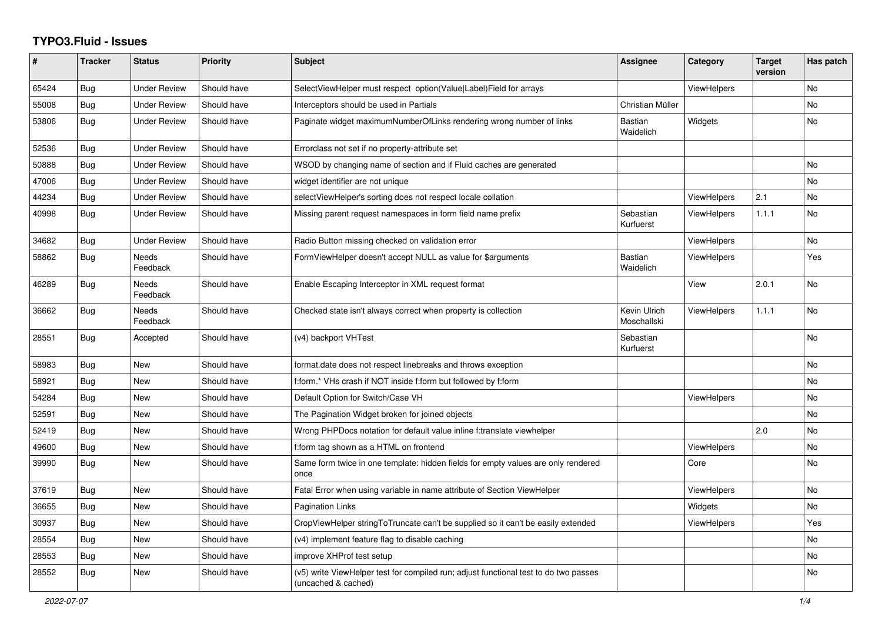## **TYPO3.Fluid - Issues**

| #     | <b>Tracker</b> | <b>Status</b>            | <b>Priority</b> | <b>Subject</b>                                                                                              | <b>Assignee</b>             | Category           | <b>Target</b><br>version | Has patch |
|-------|----------------|--------------------------|-----------------|-------------------------------------------------------------------------------------------------------------|-----------------------------|--------------------|--------------------------|-----------|
| 65424 | Bug            | <b>Under Review</b>      | Should have     | SelectViewHelper must respect option(Value Label)Field for arrays                                           |                             | <b>ViewHelpers</b> |                          | No        |
| 55008 | Bug            | <b>Under Review</b>      | Should have     | Interceptors should be used in Partials                                                                     | Christian Müller            |                    |                          | No        |
| 53806 | Bug            | <b>Under Review</b>      | Should have     | Paginate widget maximumNumberOfLinks rendering wrong number of links                                        | <b>Bastian</b><br>Waidelich | Widgets            |                          | No.       |
| 52536 | Bug            | <b>Under Review</b>      | Should have     | Errorclass not set if no property-attribute set                                                             |                             |                    |                          |           |
| 50888 | <b>Bug</b>     | <b>Under Review</b>      | Should have     | WSOD by changing name of section and if Fluid caches are generated                                          |                             |                    |                          | No        |
| 47006 | Bug            | <b>Under Review</b>      | Should have     | widget identifier are not unique                                                                            |                             |                    |                          | No        |
| 44234 | Bug            | <b>Under Review</b>      | Should have     | selectViewHelper's sorting does not respect locale collation                                                |                             | <b>ViewHelpers</b> | 2.1                      | No        |
| 40998 | Bug            | Under Review             | Should have     | Missing parent request namespaces in form field name prefix                                                 | Sebastian<br>Kurfuerst      | ViewHelpers        | 1.1.1                    | No        |
| 34682 | <b>Bug</b>     | Under Review             | Should have     | Radio Button missing checked on validation error                                                            |                             | <b>ViewHelpers</b> |                          | No        |
| 58862 | Bug            | <b>Needs</b><br>Feedback | Should have     | FormViewHelper doesn't accept NULL as value for \$arguments                                                 | Bastian<br>Waidelich        | <b>ViewHelpers</b> |                          | Yes       |
| 46289 | Bug            | Needs<br>Feedback        | Should have     | Enable Escaping Interceptor in XML request format                                                           |                             | View               | 2.0.1                    | No        |
| 36662 | Bug            | Needs<br>Feedback        | Should have     | Checked state isn't always correct when property is collection                                              | Kevin Ulrich<br>Moschallski | <b>ViewHelpers</b> | 1.1.1                    | No        |
| 28551 | Bug            | Accepted                 | Should have     | (v4) backport VHTest                                                                                        | Sebastian<br>Kurfuerst      |                    |                          | No        |
| 58983 | Bug            | New                      | Should have     | format.date does not respect linebreaks and throws exception                                                |                             |                    |                          | No        |
| 58921 | Bug            | New                      | Should have     | f:form.* VHs crash if NOT inside f:form but followed by f:form                                              |                             |                    |                          | No        |
| 54284 | Bug            | New                      | Should have     | Default Option for Switch/Case VH                                                                           |                             | <b>ViewHelpers</b> |                          | No        |
| 52591 | Bug            | New                      | Should have     | The Pagination Widget broken for joined objects                                                             |                             |                    |                          | No        |
| 52419 | Bug            | New                      | Should have     | Wrong PHPDocs notation for default value inline f:translate viewhelper                                      |                             |                    | 2.0                      | No        |
| 49600 | Bug            | <b>New</b>               | Should have     | f:form tag shown as a HTML on frontend                                                                      |                             | <b>ViewHelpers</b> |                          | No        |
| 39990 | Bug            | New                      | Should have     | Same form twice in one template: hidden fields for empty values are only rendered<br>once                   |                             | Core               |                          | No.       |
| 37619 | <b>Bug</b>     | <b>New</b>               | Should have     | Fatal Error when using variable in name attribute of Section ViewHelper                                     |                             | ViewHelpers        |                          | No        |
| 36655 | Bug            | <b>New</b>               | Should have     | Pagination Links                                                                                            |                             | Widgets            |                          | No        |
| 30937 | <b>Bug</b>     | New                      | Should have     | CropViewHelper stringToTruncate can't be supplied so it can't be easily extended                            |                             | ViewHelpers        |                          | Yes       |
| 28554 | Bug            | New                      | Should have     | (v4) implement feature flag to disable caching                                                              |                             |                    |                          | No        |
| 28553 | Bug            | New                      | Should have     | improve XHProf test setup                                                                                   |                             |                    |                          | No        |
| 28552 | Bug            | New                      | Should have     | (v5) write ViewHelper test for compiled run; adjust functional test to do two passes<br>(uncached & cached) |                             |                    |                          | No.       |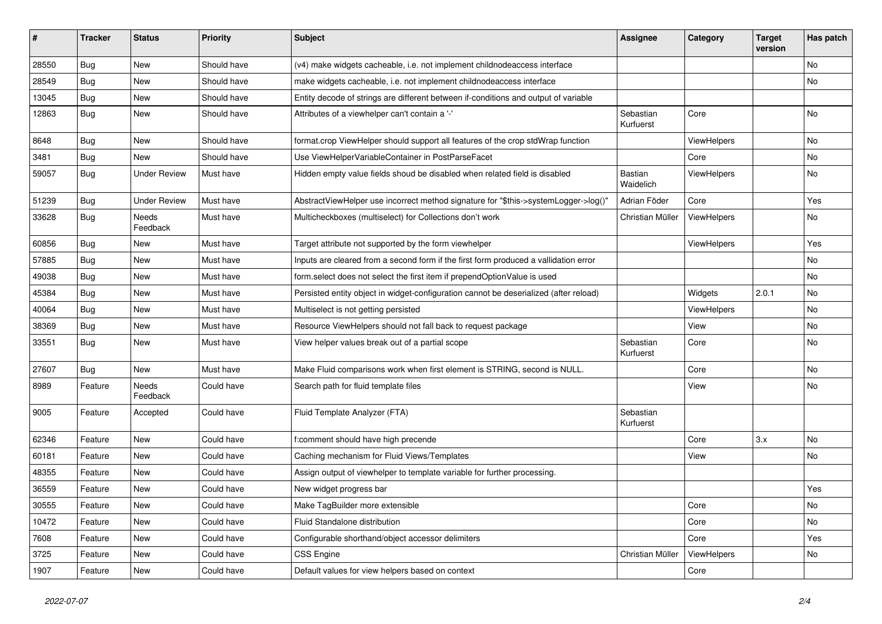| ∦     | <b>Tracker</b> | <b>Status</b>            | <b>Priority</b> | <b>Subject</b>                                                                        | <b>Assignee</b>             | Category           | <b>Target</b><br>version | Has patch |
|-------|----------------|--------------------------|-----------------|---------------------------------------------------------------------------------------|-----------------------------|--------------------|--------------------------|-----------|
| 28550 | Bug            | New                      | Should have     | (v4) make widgets cacheable, i.e. not implement childnodeaccess interface             |                             |                    |                          | No        |
| 28549 | Bug            | New                      | Should have     | make widgets cacheable, i.e. not implement childnodeaccess interface                  |                             |                    |                          | No        |
| 13045 | <b>Bug</b>     | New                      | Should have     | Entity decode of strings are different between if-conditions and output of variable   |                             |                    |                          |           |
| 12863 | Bug            | New                      | Should have     | Attributes of a viewhelper can't contain a '-'                                        | Sebastian<br>Kurfuerst      | Core               |                          | <b>No</b> |
| 8648  | Bug            | New                      | Should have     | format.crop ViewHelper should support all features of the crop stdWrap function       |                             | ViewHelpers        |                          | No        |
| 3481  | <b>Bug</b>     | New                      | Should have     | Use ViewHelperVariableContainer in PostParseFacet                                     |                             | Core               |                          | No        |
| 59057 | Bug            | <b>Under Review</b>      | Must have       | Hidden empty value fields shoud be disabled when related field is disabled            | <b>Bastian</b><br>Waidelich | ViewHelpers        |                          | No        |
| 51239 | Bug            | <b>Under Review</b>      | Must have       | AbstractViewHelper use incorrect method signature for "\$this->systemLogger->log()"   | Adrian Föder                | Core               |                          | Yes       |
| 33628 | <b>Bug</b>     | Needs<br>Feedback        | Must have       | Multicheckboxes (multiselect) for Collections don't work                              | Christian Müller            | ViewHelpers        |                          | No        |
| 60856 | Bug            | New                      | Must have       | Target attribute not supported by the form viewhelper                                 |                             | <b>ViewHelpers</b> |                          | Yes       |
| 57885 | Bug            | New                      | Must have       | Inputs are cleared from a second form if the first form produced a vallidation error  |                             |                    |                          | No.       |
| 49038 | Bug            | New                      | Must have       | form.select does not select the first item if prependOptionValue is used              |                             |                    |                          | No        |
| 45384 | <b>Bug</b>     | New                      | Must have       | Persisted entity object in widget-configuration cannot be deserialized (after reload) |                             | Widgets            | 2.0.1                    | No        |
| 40064 | Bug            | <b>New</b>               | Must have       | Multiselect is not getting persisted                                                  |                             | ViewHelpers        |                          | No        |
| 38369 | Bug            | New                      | Must have       | Resource ViewHelpers should not fall back to request package                          |                             | View               |                          | No.       |
| 33551 | <b>Bug</b>     | New                      | Must have       | View helper values break out of a partial scope                                       | Sebastian<br>Kurfuerst      | Core               |                          | No        |
| 27607 | Bug            | New                      | Must have       | Make Fluid comparisons work when first element is STRING, second is NULL.             |                             | Core               |                          | No        |
| 8989  | Feature        | <b>Needs</b><br>Feedback | Could have      | Search path for fluid template files                                                  |                             | View               |                          | No        |
| 9005  | Feature        | Accepted                 | Could have      | Fluid Template Analyzer (FTA)                                                         | Sebastian<br>Kurfuerst      |                    |                          |           |
| 62346 | Feature        | New                      | Could have      | f:comment should have high precende                                                   |                             | Core               | 3.x                      | No.       |
| 60181 | Feature        | New                      | Could have      | Caching mechanism for Fluid Views/Templates                                           |                             | View               |                          | No        |
| 48355 | Feature        | New                      | Could have      | Assign output of viewhelper to template variable for further processing.              |                             |                    |                          |           |
| 36559 | Feature        | New                      | Could have      | New widget progress bar                                                               |                             |                    |                          | Yes       |
| 30555 | Feature        | New                      | Could have      | Make TagBuilder more extensible                                                       |                             | Core               |                          | No        |
| 10472 | Feature        | New                      | Could have      | Fluid Standalone distribution                                                         |                             | Core               |                          | No        |
| 7608  | Feature        | New                      | Could have      | Configurable shorthand/object accessor delimiters                                     |                             | Core               |                          | Yes       |
| 3725  | Feature        | New                      | Could have      | CSS Engine                                                                            | Christian Müller            | ViewHelpers        |                          | No        |
| 1907  | Feature        | New                      | Could have      | Default values for view helpers based on context                                      |                             | Core               |                          |           |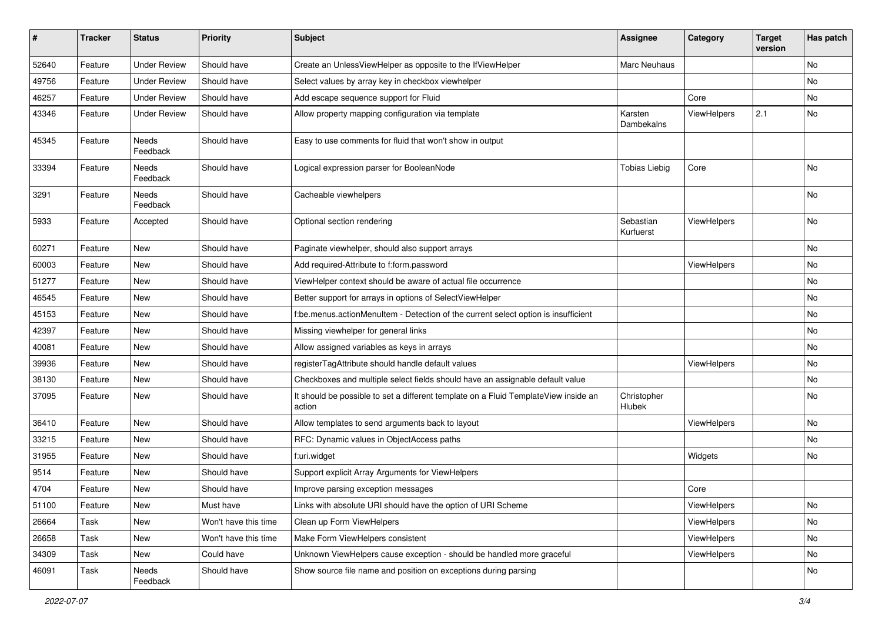| #     | <b>Tracker</b> | <b>Status</b>       | <b>Priority</b>      | Subject                                                                                       | <b>Assignee</b>        | Category    | <b>Target</b><br>version | Has patch |
|-------|----------------|---------------------|----------------------|-----------------------------------------------------------------------------------------------|------------------------|-------------|--------------------------|-----------|
| 52640 | Feature        | <b>Under Review</b> | Should have          | Create an UnlessViewHelper as opposite to the IfViewHelper                                    | Marc Neuhaus           |             |                          | No        |
| 49756 | Feature        | <b>Under Review</b> | Should have          | Select values by array key in checkbox viewhelper                                             |                        |             |                          | No        |
| 46257 | Feature        | <b>Under Review</b> | Should have          | Add escape sequence support for Fluid                                                         |                        | Core        |                          | No        |
| 43346 | Feature        | <b>Under Review</b> | Should have          | Allow property mapping configuration via template                                             | Karsten<br>Dambekalns  | ViewHelpers | 2.1                      | No        |
| 45345 | Feature        | Needs<br>Feedback   | Should have          | Easy to use comments for fluid that won't show in output                                      |                        |             |                          |           |
| 33394 | Feature        | Needs<br>Feedback   | Should have          | Logical expression parser for BooleanNode                                                     | <b>Tobias Liebig</b>   | Core        |                          | <b>No</b> |
| 3291  | Feature        | Needs<br>Feedback   | Should have          | Cacheable viewhelpers                                                                         |                        |             |                          | No        |
| 5933  | Feature        | Accepted            | Should have          | Optional section rendering                                                                    | Sebastian<br>Kurfuerst | ViewHelpers |                          | No        |
| 60271 | Feature        | New                 | Should have          | Paginate viewhelper, should also support arrays                                               |                        |             |                          | No        |
| 60003 | Feature        | New                 | Should have          | Add required-Attribute to f:form.password                                                     |                        | ViewHelpers |                          | No        |
| 51277 | Feature        | New                 | Should have          | ViewHelper context should be aware of actual file occurrence                                  |                        |             |                          | No        |
| 46545 | Feature        | <b>New</b>          | Should have          | Better support for arrays in options of SelectViewHelper                                      |                        |             |                          | No        |
| 45153 | Feature        | New                 | Should have          | f:be.menus.actionMenuItem - Detection of the current select option is insufficient            |                        |             |                          | No        |
| 42397 | Feature        | New                 | Should have          | Missing viewhelper for general links                                                          |                        |             |                          | No        |
| 40081 | Feature        | New                 | Should have          | Allow assigned variables as keys in arrays                                                    |                        |             |                          | No        |
| 39936 | Feature        | New                 | Should have          | registerTagAttribute should handle default values                                             |                        | ViewHelpers |                          | No        |
| 38130 | Feature        | New                 | Should have          | Checkboxes and multiple select fields should have an assignable default value                 |                        |             |                          | No        |
| 37095 | Feature        | New                 | Should have          | It should be possible to set a different template on a Fluid TemplateView inside an<br>action | Christopher<br>Hlubek  |             |                          | No        |
| 36410 | Feature        | New                 | Should have          | Allow templates to send arguments back to layout                                              |                        | ViewHelpers |                          | No        |
| 33215 | Feature        | New                 | Should have          | RFC: Dynamic values in ObjectAccess paths                                                     |                        |             |                          | No        |
| 31955 | Feature        | New                 | Should have          | f:uri.widget                                                                                  |                        | Widgets     |                          | No        |
| 9514  | Feature        | New                 | Should have          | Support explicit Array Arguments for ViewHelpers                                              |                        |             |                          |           |
| 4704  | Feature        | New                 | Should have          | Improve parsing exception messages                                                            |                        | Core        |                          |           |
| 51100 | Feature        | New                 | Must have            | Links with absolute URI should have the option of URI Scheme                                  |                        | ViewHelpers |                          | No        |
| 26664 | Task           | New                 | Won't have this time | Clean up Form ViewHelpers                                                                     |                        | ViewHelpers |                          | No        |
| 26658 | Task           | New                 | Won't have this time | Make Form ViewHelpers consistent                                                              |                        | ViewHelpers |                          | No        |
| 34309 | Task           | New                 | Could have           | Unknown ViewHelpers cause exception - should be handled more graceful                         |                        | ViewHelpers |                          | No        |
| 46091 | Task           | Needs<br>Feedback   | Should have          | Show source file name and position on exceptions during parsing                               |                        |             |                          | No        |